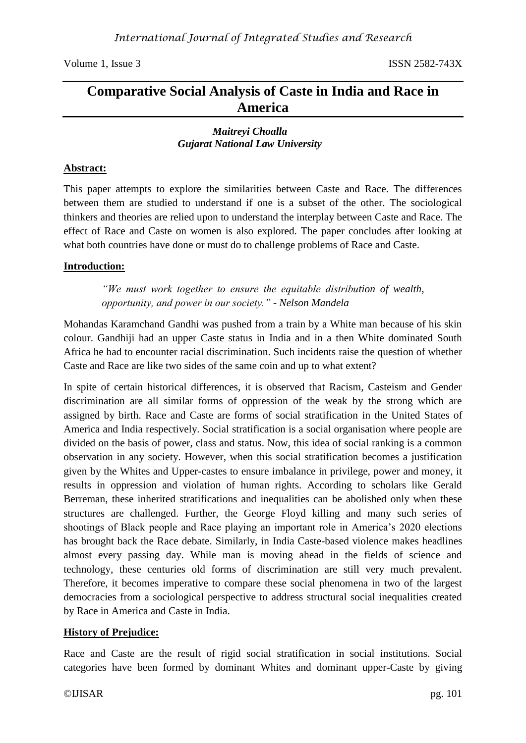# **Comparative Social Analysis of Caste in India and Race in America**

#### *Maitreyi Choalla Gujarat National Law University*

#### **Abstract:**

This paper attempts to explore the similarities between Caste and Race. The differences between them are studied to understand if one is a subset of the other. The sociological thinkers and theories are relied upon to understand the interplay between Caste and Race. The effect of Race and Caste on women is also explored. The paper concludes after looking at what both countries have done or must do to challenge problems of Race and Caste.

### **Introduction:**

*"We must work together to ensure the equitable distribution of wealth, opportunity, and power in our society."* - *Nelson Mandela*

Mohandas Karamchand Gandhi was pushed from a train by a White man because of his skin colour. Gandhiji had an upper Caste status in India and in a then White dominated South Africa he had to encounter racial discrimination. Such incidents raise the question of whether Caste and Race are like two sides of the same coin and up to what extent?

In spite of certain historical differences, it is observed that Racism, Casteism and Gender discrimination are all similar forms of oppression of the weak by the strong which are assigned by birth. Race and Caste are forms of social stratification in the United States of America and India respectively. Social stratification is a social organisation where people are divided on the basis of power, class and status. Now, this idea of social ranking is a common observation in any society. However, when this social stratification becomes a justification given by the Whites and Upper-castes to ensure imbalance in privilege, power and money, it results in oppression and violation of human rights. According to scholars like Gerald Berreman, these inherited stratifications and inequalities can be abolished only when these structures are challenged. Further, the George Floyd killing and many such series of shootings of Black people and Race playing an important role in America's 2020 elections has brought back the Race debate. Similarly, in India Caste-based violence makes headlines almost every passing day. While man is moving ahead in the fields of science and technology, these centuries old forms of discrimination are still very much prevalent. Therefore, it becomes imperative to compare these social phenomena in two of the largest democracies from a sociological perspective to address structural social inequalities created by Race in America and Caste in India.

### **History of Prejudice:**

Race and Caste are the result of rigid social stratification in social institutions. Social categories have been formed by dominant Whites and dominant upper-Caste by giving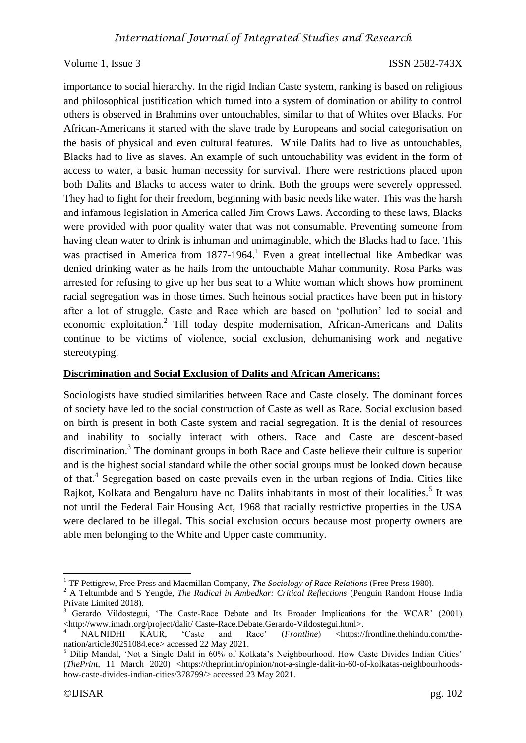importance to social hierarchy. In the rigid Indian Caste system, ranking is based on religious and philosophical justification which turned into a system of domination or ability to control others is observed in Brahmins over untouchables, similar to that of Whites over Blacks. For African-Americans it started with the slave trade by Europeans and social categorisation on the basis of physical and even cultural features. While Dalits had to live as untouchables, Blacks had to live as slaves. An example of such untouchability was evident in the form of access to water, a basic human necessity for survival. There were restrictions placed upon both Dalits and Blacks to access water to drink. Both the groups were severely oppressed. They had to fight for their freedom, beginning with basic needs like water. This was the harsh and infamous legislation in America called Jim Crows Laws. According to these laws, Blacks were provided with poor quality water that was not consumable. Preventing someone from having clean water to drink is inhuman and unimaginable, which the Blacks had to face. This was practised in America from  $1877-1964$ .<sup>1</sup> Even a great intellectual like Ambedkar was denied drinking water as he hails from the untouchable Mahar community. Rosa Parks was arrested for refusing to give up her bus seat to a White woman which shows how prominent racial segregation was in those times. Such heinous social practices have been put in history after a lot of struggle. Caste and Race which are based on 'pollution' led to social and economic exploitation.<sup>2</sup> Till today despite modernisation, African-Americans and Dalits continue to be victims of violence, social exclusion, dehumanising work and negative stereotyping.

#### **Discrimination and Social Exclusion of Dalits and African Americans:**

Sociologists have studied similarities between Race and Caste closely. The dominant forces of society have led to the social construction of Caste as well as Race. Social exclusion based on birth is present in both Caste system and racial segregation. It is the denial of resources and inability to socially interact with others. Race and Caste are descent-based discrimination.<sup>3</sup> The dominant groups in both Race and Caste believe their culture is superior and is the highest social standard while the other social groups must be looked down because of that.<sup>4</sup> Segregation based on caste prevails even in the urban regions of India. Cities like Rajkot, Kolkata and Bengaluru have no Dalits inhabitants in most of their localities.<sup>5</sup> It was not until the Federal Fair Housing Act, 1968 that racially restrictive properties in the USA were declared to be illegal. This social exclusion occurs because most property owners are able men belonging to the White and Upper caste community.

**.** 

<sup>1</sup> TF Pettigrew, Free Press and Macmillan Company, *The Sociology of Race Relations* (Free Press 1980).

<sup>2</sup> A Teltumbde and S Yengde, *The Radical in Ambedkar: Critical Reflections* (Penguin Random House India Private Limited 2018).

<sup>&</sup>lt;sup>3</sup> Gerardo Vildostegui, 'The Caste-Race Debate and Its Broader Implications for the WCAR' (2001) [<http://www.imadr.org/project/dalit/ Caste-Race.Debate.Gerardo-Vildostegui.html>](http://www.imadr.org/project/dalit/%20Caste-Race.Debate.Gerardo-Vildostegui.html).

<sup>4</sup> NAUNIDHI KAUR, 'Caste and Race' (*Frontline*) [<https://frontline.thehindu.com/the](https://frontline.thehindu.com/the-nation/article30251084.ece)[nation/article30251084.ece>](https://frontline.thehindu.com/the-nation/article30251084.ece) accessed 22 May 2021.

<sup>5</sup> Dilip Mandal, 'Not a Single Dalit in 60% of Kolkata's Neighbourhood. How Caste Divides Indian Cities' (*ThePrint*, 11 March 2020) [<https://theprint.in/opinion/not-a-single-dalit-in-60-of-kolkatas-neighbourhoods](https://theprint.in/opinion/not-a-single-dalit-in-60-of-kolkatas-neighbourhoods-how-caste-divides-indian-cities/378799/)[how-caste-divides-indian-cities/378799/>](https://theprint.in/opinion/not-a-single-dalit-in-60-of-kolkatas-neighbourhoods-how-caste-divides-indian-cities/378799/) accessed 23 May 2021.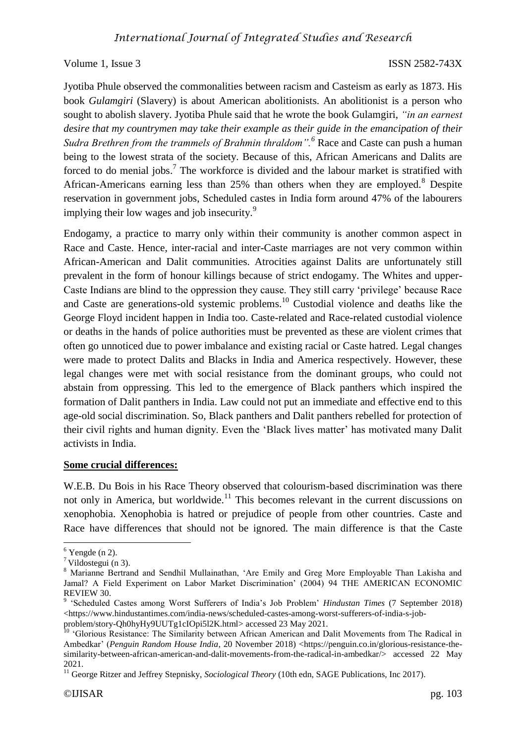Jyotiba Phule observed the commonalities between racism and Casteism as early as 1873. His book *Gulamgiri* (Slavery) is about American abolitionists. An abolitionist is a person who sought to abolish slavery. Jyotiba Phule said that he wrote the book Gulamgiri, *"in an earnest desire that my countrymen may take their example as their guide in the emancipation of their Sudra Brethren from the trammels of Brahmin thraldom".<sup>6</sup>* Race and Caste can push a human being to the lowest strata of the society. Because of this, African Americans and Dalits are forced to do menial jobs.<sup>7</sup> The workforce is divided and the labour market is stratified with African-Americans earning less than 25% than others when they are employed.<sup>8</sup> Despite reservation in government jobs, Scheduled castes in India form around 47% of the labourers implying their low wages and job insecurity.<sup>9</sup>

Endogamy, a practice to marry only within their community is another common aspect in Race and Caste. Hence, inter-racial and inter-Caste marriages are not very common within African-American and Dalit communities. Atrocities against Dalits are unfortunately still prevalent in the form of honour killings because of strict endogamy. The Whites and upper-Caste Indians are blind to the oppression they cause. They still carry 'privilege' because Race and Caste are generations-old systemic problems.<sup>10</sup> Custodial violence and deaths like the George Floyd incident happen in India too. Caste-related and Race-related custodial violence or deaths in the hands of police authorities must be prevented as these are violent crimes that often go unnoticed due to power imbalance and existing racial or Caste hatred. Legal changes were made to protect Dalits and Blacks in India and America respectively. However, these legal changes were met with social resistance from the dominant groups, who could not abstain from oppressing. This led to the emergence of Black panthers which inspired the formation of Dalit panthers in India. Law could not put an immediate and effective end to this age-old social discrimination. So, Black panthers and Dalit panthers rebelled for protection of their civil rights and human dignity. Even the 'Black lives matter' has motivated many Dalit activists in India.

#### **Some crucial differences:**

W.E.B. Du Bois in his Race Theory observed that colourism-based discrimination was there not only in America, but worldwide.<sup>11</sup> This becomes relevant in the current discussions on xenophobia. Xenophobia is hatred or prejudice of people from other countries. Caste and Race have differences that should not be ignored. The main difference is that the Caste

 $\overline{a}$  $6$  Yengde (n 2).

 $7$  Vildostegui (n 3).

<sup>&</sup>lt;sup>8</sup> Marianne Bertrand and Sendhil Mullainathan, 'Are Emily and Greg More Employable Than Lakisha and Jamal? A Field Experiment on Labor Market Discrimination' (2004) 94 THE AMERICAN ECONOMIC REVIEW 30.

<sup>9</sup> 'Scheduled Castes among Worst Sufferers of India's Job Problem' *Hindustan Times* (7 September 2018) [<https://www.hindustantimes.com/india-news/scheduled-castes-among-worst-sufferers-of-india-s-job-](https://www.hindustantimes.com/india-news/scheduled-castes-among-worst-sufferers-of-india-s-job-problem/story-Qh0hyHy9UUTg1cIOpi5l2K.html)

[problem/story-Qh0hyHy9UUTg1cIOpi5l2K.html>](https://www.hindustantimes.com/india-news/scheduled-castes-among-worst-sufferers-of-india-s-job-problem/story-Qh0hyHy9UUTg1cIOpi5l2K.html) accessed 23 May 2021.

<sup>&</sup>lt;sup>10</sup> 'Glorious Resistance: The Similarity between African American and Dalit Movements from The Radical in Ambedkar' (*Penguin Random House India*, 20 November 2018) [<https://penguin.co.in/glorious-resistance-the](https://penguin.co.in/glorious-resistance-the-similarity-between-african-american-and-dalit-movements-from-the-radical-in-ambedkar/)[similarity-between-african-american-and-dalit-movements-from-the-radical-in-ambedkar/>](https://penguin.co.in/glorious-resistance-the-similarity-between-african-american-and-dalit-movements-from-the-radical-in-ambedkar/) accessed 22 May 2021.

<sup>&</sup>lt;sup>11</sup> George Ritzer and Jeffrey Stepnisky, *Sociological Theory* (10th edn, SAGE Publications, Inc 2017).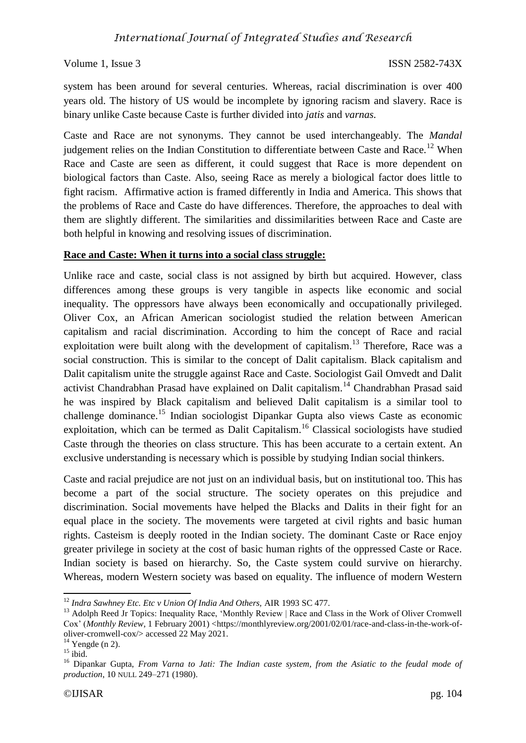system has been around for several centuries. Whereas, racial discrimination is over 400 years old. The history of US would be incomplete by ignoring racism and slavery. Race is binary unlike Caste because Caste is further divided into *jatis* and *varnas.* 

Caste and Race are not synonyms. They cannot be used interchangeably. The *Mandal*  judgement relies on the Indian Constitution to differentiate between Caste and Race.<sup>12</sup> When Race and Caste are seen as different, it could suggest that Race is more dependent on biological factors than Caste. Also, seeing Race as merely a biological factor does little to fight racism. Affirmative action is framed differently in India and America. This shows that the problems of Race and Caste do have differences. Therefore, the approaches to deal with them are slightly different. The similarities and dissimilarities between Race and Caste are both helpful in knowing and resolving issues of discrimination.

### **Race and Caste: When it turns into a social class struggle:**

Unlike race and caste, social class is not assigned by birth but acquired. However, class differences among these groups is very tangible in aspects like economic and social inequality. The oppressors have always been economically and occupationally privileged. Oliver Cox, an African American sociologist studied the relation between American capitalism and racial discrimination. According to him the concept of Race and racial exploitation were built along with the development of capitalism.<sup>13</sup> Therefore, Race was a social construction. This is similar to the concept of Dalit capitalism. Black capitalism and Dalit capitalism unite the struggle against Race and Caste. Sociologist Gail Omvedt and Dalit activist Chandrabhan Prasad have explained on Dalit capitalism.<sup>14</sup> Chandrabhan Prasad said he was inspired by Black capitalism and believed Dalit capitalism is a similar tool to challenge dominance.<sup>15</sup> Indian sociologist Dipankar Gupta also views Caste as economic exploitation, which can be termed as Dalit Capitalism.<sup>16</sup> Classical sociologists have studied Caste through the theories on class structure. This has been accurate to a certain extent. An exclusive understanding is necessary which is possible by studying Indian social thinkers.

Caste and racial prejudice are not just on an individual basis, but on institutional too. This has become a part of the social structure. The society operates on this prejudice and discrimination. Social movements have helped the Blacks and Dalits in their fight for an equal place in the society. The movements were targeted at civil rights and basic human rights. Casteism is deeply rooted in the Indian society. The dominant Caste or Race enjoy greater privilege in society at the cost of basic human rights of the oppressed Caste or Race. Indian society is based on hierarchy. So, the Caste system could survive on hierarchy. Whereas, modern Western society was based on equality. The influence of modern Western

**<sup>.</sup>** <sup>12</sup> *Indra Sawhney Etc. Etc v Union Of India And Others,* AIR 1993 SC 477.

<sup>&</sup>lt;sup>13</sup> Adolph Reed Jr Topics: Inequality Race, 'Monthly Review | Race and Class in the Work of Oliver Cromwell Cox' (*Monthly Review*, 1 February 2001) [<https://monthlyreview.org/2001/02/01/race-and-class-in-the-work-of](https://monthlyreview.org/2001/02/01/race-and-class-in-the-work-of-oliver-cromwell-cox/)[oliver-cromwell-cox/>](https://monthlyreview.org/2001/02/01/race-and-class-in-the-work-of-oliver-cromwell-cox/) accessed 22 May 2021.

 $14$  Yengde (n 2).

 $15$  ibid.

<sup>16</sup> Dipankar Gupta, *From Varna to Jati: The Indian caste system, from the Asiatic to the feudal mode of production*, 10 NULL 249–271 (1980).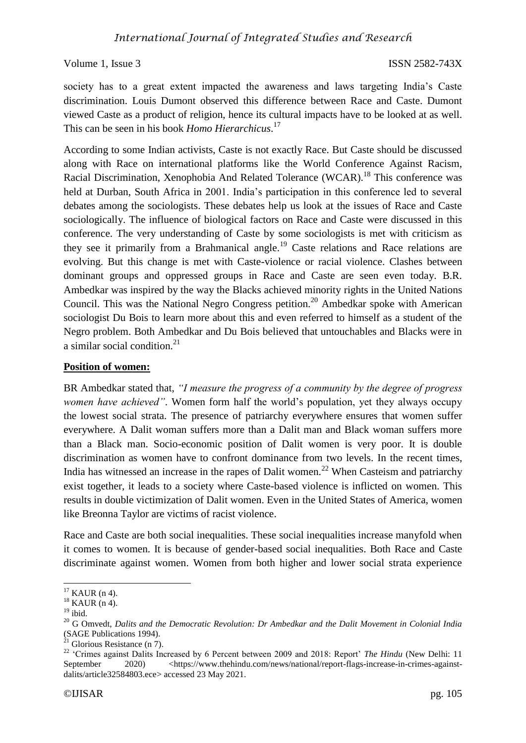society has to a great extent impacted the awareness and laws targeting India's Caste discrimination. Louis Dumont observed this difference between Race and Caste. Dumont viewed Caste as a product of religion, hence its cultural impacts have to be looked at as well. This can be seen in his book *Homo Hierarchicus*. 17

According to some Indian activists, Caste is not exactly Race. But Caste should be discussed along with Race on international platforms like the World Conference Against Racism, Racial Discrimination, Xenophobia And Related Tolerance (WCAR).<sup>18</sup> This conference was held at Durban, South Africa in 2001. India's participation in this conference led to several debates among the sociologists. These debates help us look at the issues of Race and Caste sociologically. The influence of biological factors on Race and Caste were discussed in this conference. The very understanding of Caste by some sociologists is met with criticism as they see it primarily from a Brahmanical angle.<sup>19</sup> Caste relations and Race relations are evolving. But this change is met with Caste-violence or racial violence. Clashes between dominant groups and oppressed groups in Race and Caste are seen even today. B.R. Ambedkar was inspired by the way the Blacks achieved minority rights in the United Nations Council. This was the National Negro Congress petition.<sup>20</sup> Ambedkar spoke with American sociologist Du Bois to learn more about this and even referred to himself as a student of the Negro problem. Both Ambedkar and Du Bois believed that untouchables and Blacks were in a similar social condition. $21$ 

### **Position of women:**

BR Ambedkar stated that, *"I measure the progress of a community by the degree of progress women have achieved"*. Women form half the world's population, yet they always occupy the lowest social strata. The presence of patriarchy everywhere ensures that women suffer everywhere. A Dalit woman suffers more than a Dalit man and Black woman suffers more than a Black man. Socio-economic position of Dalit women is very poor. It is double discrimination as women have to confront dominance from two levels. In the recent times, India has witnessed an increase in the rapes of Dalit women.<sup>22</sup> When Casteism and patriarchy exist together, it leads to a society where Caste-based violence is inflicted on women. This results in double victimization of Dalit women. Even in the United States of America, women like Breonna Taylor are victims of racist violence.

Race and Caste are both social inequalities. These social inequalities increase manyfold when it comes to women. It is because of gender-based social inequalities. Both Race and Caste discriminate against women. Women from both higher and lower social strata experience

 $\overline{a}$  $17$  KAUR (n 4).

 $18$  KAUR (n 4).

 $19$  ibid.

<sup>20</sup> G Omvedt, *Dalits and the Democratic Revolution: Dr Ambedkar and the Dalit Movement in Colonial India* (SAGE Publications 1994).

 $21$ <sup>21</sup> Glorious Resistance (n 7).

<sup>&</sup>lt;sup>22</sup> 'Crimes against Dalits Increased by 6 Percent between 2009 and 2018: Report' *The Hindu* (New Delhi: 11 September 2020) [<https://www.thehindu.com/news/national/report-flags-increase-in-crimes-against](https://www.thehindu.com/news/national/report-flags-increase-in-crimes-against-dalits/article32584803.ece)[dalits/article32584803.ece>](https://www.thehindu.com/news/national/report-flags-increase-in-crimes-against-dalits/article32584803.ece) accessed 23 May 2021.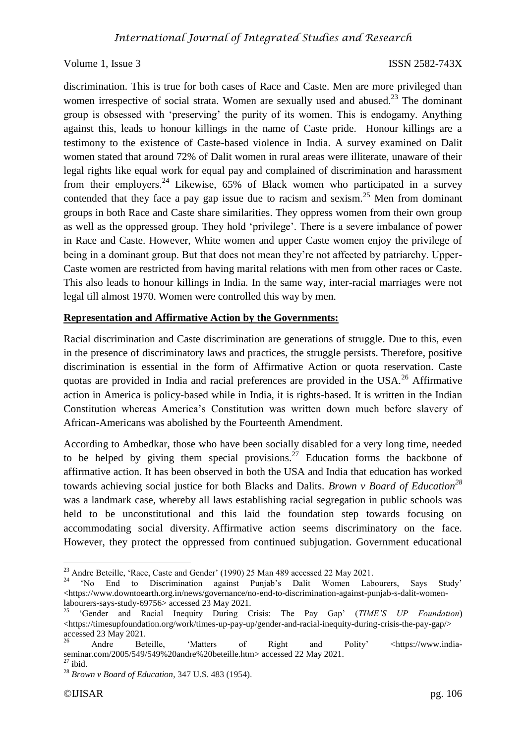discrimination. This is true for both cases of Race and Caste. Men are more privileged than women irrespective of social strata. Women are sexually used and abused.<sup>23</sup> The dominant group is obsessed with 'preserving' the purity of its women. This is endogamy. Anything against this, leads to honour killings in the name of Caste pride. Honour killings are a testimony to the existence of Caste-based violence in India. A survey examined on Dalit women stated that around 72% of Dalit women in rural areas were illiterate, unaware of their legal rights like equal work for equal pay and complained of discrimination and harassment from their employers.<sup>24</sup> Likewise,  $65\%$  of Black women who participated in a survey contended that they face a pay gap issue due to racism and sexism.<sup>25</sup> Men from dominant groups in both Race and Caste share similarities. They oppress women from their own group as well as the oppressed group. They hold 'privilege'. There is a severe imbalance of power in Race and Caste. However, White women and upper Caste women enjoy the privilege of being in a dominant group. But that does not mean they're not affected by patriarchy. Upper-Caste women are restricted from having marital relations with men from other races or Caste. This also leads to honour killings in India. In the same way, inter-racial marriages were not legal till almost 1970. Women were controlled this way by men.

#### **Representation and Affirmative Action by the Governments:**

Racial discrimination and Caste discrimination are generations of struggle. Due to this, even in the presence of discriminatory laws and practices, the struggle persists. Therefore, positive discrimination is essential in the form of Affirmative Action or quota reservation. Caste quotas are provided in India and racial preferences are provided in the USA.<sup>26</sup> Affirmative action in America is policy-based while in India, it is rights-based. It is written in the Indian Constitution whereas America's Constitution was written down much before slavery of African-Americans was abolished by the Fourteenth Amendment.

According to Ambedkar, those who have been socially disabled for a very long time, needed to be helped by giving them special provisions.<sup>27</sup> Education forms the backbone of affirmative action. It has been observed in both the USA and India that education has worked towards achieving social justice for both Blacks and Dalits. *Brown v Board of Education<sup>28</sup>* was a landmark case, whereby all laws establishing racial segregation in public schools was held to be unconstitutional and this laid the foundation step towards focusing on accommodating social diversity. Affirmative action seems discriminatory on the face. However, they protect the oppressed from continued subjugation. Government educational

**.** 

 $^{23}$  Andre Beteille, 'Race, Caste and Gender' (1990) 25 Man 489 accessed 22 May 2021.

<sup>&</sup>lt;sup>24</sup> 'No End to Discrimination against Punjab's Dalit Women Labourers, Says Study' [<https://www.downtoearth.org.in/news/governance/no-end-to-discrimination-against-punjab-s-dalit-women](https://www.downtoearth.org.in/news/governance/no-end-to-discrimination-against-punjab-s-dalit-women-labourers-says-study-69756)[labourers-says-study-69756>](https://www.downtoearth.org.in/news/governance/no-end-to-discrimination-against-punjab-s-dalit-women-labourers-says-study-69756) accessed 23 May 2021.

<sup>25</sup> 'Gender and Racial Inequity During Crisis: The Pay Gap' (*TIME'S UP Foundation*) [<https://timesupfoundation.org/work/times-up-pay-up/gender-and-racial-inequity-during-crisis-the-pay-gap/>](https://timesupfoundation.org/work/times-up-pay-up/gender-and-racial-inequity-during-crisis-the-pay-gap/) accessed 23 May 2021.

Andre Beteille, 'Matters of Right and Polity' [<https://www.india](https://www.india-seminar.com/2005/549/549%20andre%20beteille.htm)[seminar.com/2005/549/549%20andre%20beteille.htm>](https://www.india-seminar.com/2005/549/549%20andre%20beteille.htm) accessed 22 May 2021.

 $27$  ibid.

<sup>28</sup> *Brown v Board of Education*, 347 U.S. 483 (1954).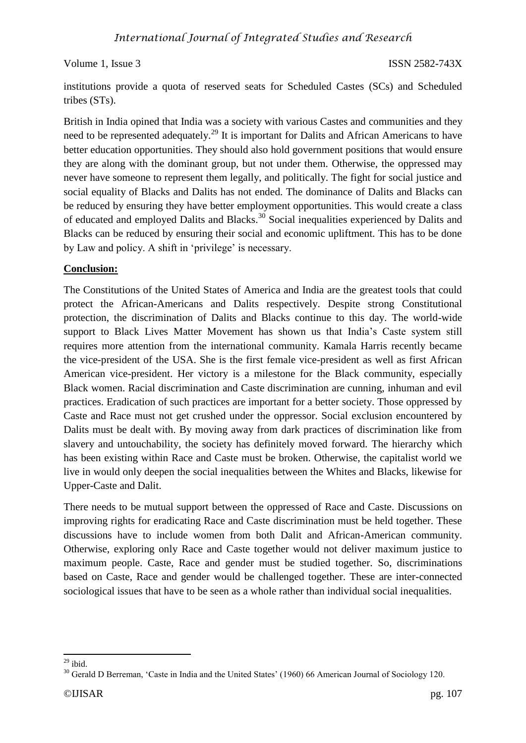institutions provide a quota of reserved seats for Scheduled Castes (SCs) and Scheduled tribes (STs).

British in India opined that India was a society with various Castes and communities and they need to be represented adequately.<sup>29</sup> It is important for Dalits and African Americans to have better education opportunities. They should also hold government positions that would ensure they are along with the dominant group, but not under them. Otherwise, the oppressed may never have someone to represent them legally, and politically. The fight for social justice and social equality of Blacks and Dalits has not ended. The dominance of Dalits and Blacks can be reduced by ensuring they have better employment opportunities. This would create a class of educated and employed Dalits and Blacks.<sup>30</sup> Social inequalities experienced by Dalits and Blacks can be reduced by ensuring their social and economic upliftment. This has to be done by Law and policy. A shift in 'privilege' is necessary.

## **Conclusion:**

The Constitutions of the United States of America and India are the greatest tools that could protect the African-Americans and Dalits respectively. Despite strong Constitutional protection, the discrimination of Dalits and Blacks continue to this day. The world-wide support to Black Lives Matter Movement has shown us that India's Caste system still requires more attention from the international community. Kamala Harris recently became the vice-president of the USA. She is the first female vice-president as well as first African American vice-president. Her victory is a milestone for the Black community, especially Black women. Racial discrimination and Caste discrimination are cunning, inhuman and evil practices. Eradication of such practices are important for a better society. Those oppressed by Caste and Race must not get crushed under the oppressor. Social exclusion encountered by Dalits must be dealt with. By moving away from dark practices of discrimination like from slavery and untouchability, the society has definitely moved forward. The hierarchy which has been existing within Race and Caste must be broken. Otherwise, the capitalist world we live in would only deepen the social inequalities between the Whites and Blacks, likewise for Upper-Caste and Dalit.

There needs to be mutual support between the oppressed of Race and Caste. Discussions on improving rights for eradicating Race and Caste discrimination must be held together. These discussions have to include women from both Dalit and African-American community. Otherwise, exploring only Race and Caste together would not deliver maximum justice to maximum people. Caste, Race and gender must be studied together. So, discriminations based on Caste, Race and gender would be challenged together. These are inter-connected sociological issues that have to be seen as a whole rather than individual social inequalities.

**<sup>.</sup>**  $29$  ibid.

<sup>&</sup>lt;sup>30</sup> Gerald D Berreman, 'Caste in India and the United States' (1960) 66 American Journal of Sociology 120.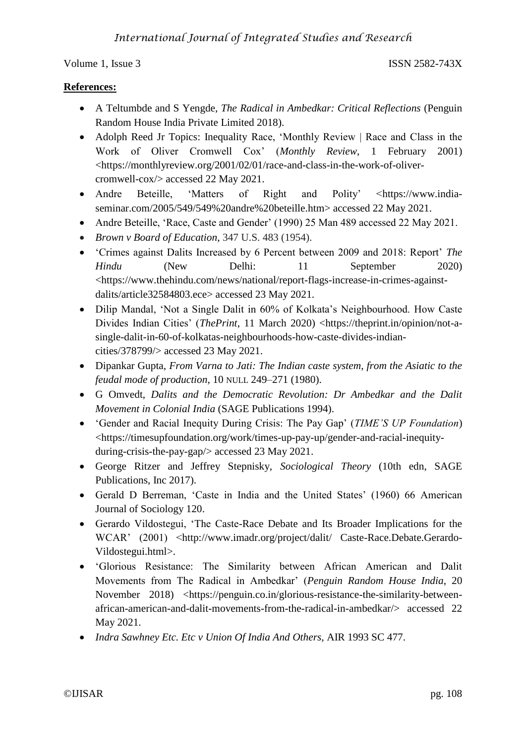## **References:**

- A Teltumbde and S Yengde, *The Radical in Ambedkar: Critical Reflections* (Penguin Random House India Private Limited 2018).
- Adolph Reed Jr Topics: Inequality Race, 'Monthly Review | Race and Class in the Work of Oliver Cromwell Cox' (*Monthly Review*, 1 February 2001) <https://monthlyreview.org/2001/02/01/race-and-class-in-the-work-of-olivercromwell-cox/> accessed 22 May 2021.
- Andre Beteille, 'Matters of Right and Polity' [<https://www.india](https://www.india-seminar.com/2005/549/549%20andre%20beteille.htm)[seminar.com/2005/549/549%20andre%20beteille.htm>](https://www.india-seminar.com/2005/549/549%20andre%20beteille.htm) accessed 22 May 2021.
- Andre Beteille, 'Race, Caste and Gender' (1990) 25 Man 489 accessed 22 May 2021.
- *Brown v Board of Education*, 347 U.S. 483 (1954).
- 'Crimes against Dalits Increased by 6 Percent between 2009 and 2018: Report' *The Hindu* (New Delhi: 11 September 2020) <https://www.thehindu.com/news/national/report-flags-increase-in-crimes-againstdalits/article32584803.ece> accessed 23 May 2021.
- Dilip Mandal, 'Not a Single Dalit in 60% of Kolkata's Neighbourhood. How Caste Divides Indian Cities' (*ThePrint*, 11 March 2020) <https://theprint.in/opinion/not-asingle-dalit-in-60-of-kolkatas-neighbourhoods-how-caste-divides-indiancities/378799/> accessed 23 May 2021.
- Dipankar Gupta, *From Varna to Jati: The Indian caste system, from the Asiatic to the feudal mode of production*, 10 NULL 249–271 (1980).
- G Omvedt, *Dalits and the Democratic Revolution: Dr Ambedkar and the Dalit Movement in Colonial India* (SAGE Publications 1994).
- 'Gender and Racial Inequity During Crisis: The Pay Gap' (*TIME'S UP Foundation*) <https://timesupfoundation.org/work/times-up-pay-up/gender-and-racial-inequityduring-crisis-the-pay-gap/> accessed 23 May 2021.
- George Ritzer and Jeffrey Stepnisky, *Sociological Theory* (10th edn, SAGE Publications, Inc 2017).
- Gerald D Berreman, 'Caste in India and the United States' (1960) 66 American Journal of Sociology 120.
- Gerardo Vildostegui, 'The Caste-Race Debate and Its Broader Implications for the WCAR' (2001) <http://www.imadr.org/project/dalit/ Caste-Race.Debate.Gerardo-Vildostegui.html>.
- 'Glorious Resistance: The Similarity between African American and Dalit Movements from The Radical in Ambedkar' (*Penguin Random House India*, 20 November 2018) <https://penguin.co.in/glorious-resistance-the-similarity-betweenafrican-american-and-dalit-movements-from-the-radical-in-ambedkar/> accessed 22 May 2021.
- *Indra Sawhney Etc. Etc v Union Of India And Others,* AIR 1993 SC 477.